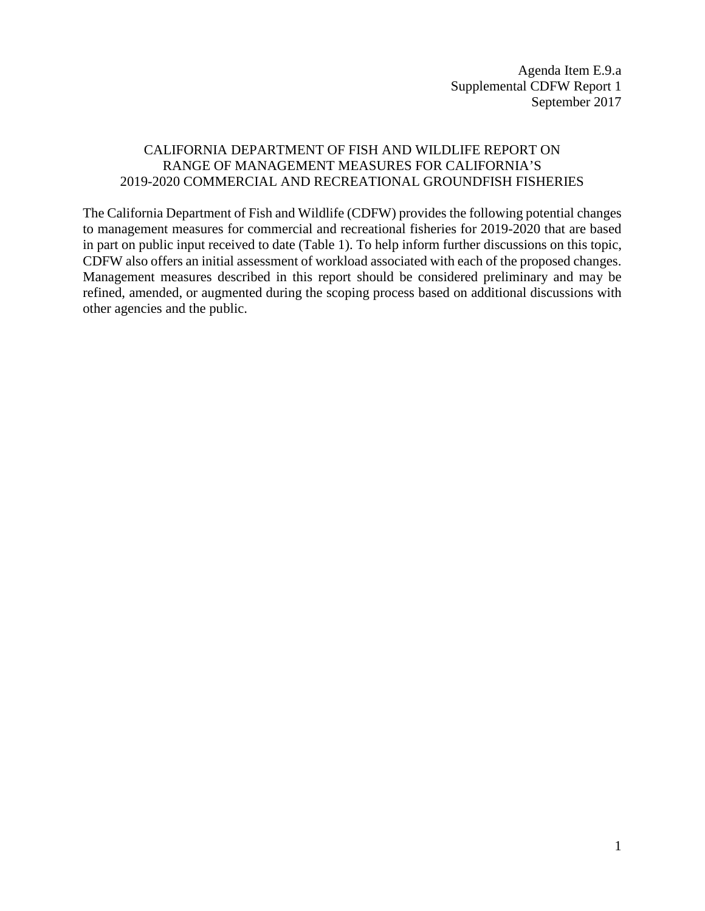## CALIFORNIA DEPARTMENT OF FISH AND WILDLIFE REPORT ON RANGE OF MANAGEMENT MEASURES FOR CALIFORNIA'S 2019-2020 COMMERCIAL AND RECREATIONAL GROUNDFISH FISHERIES

The California Department of Fish and Wildlife (CDFW) provides the following potential changes to management measures for commercial and recreational fisheries for 2019-2020 that are based in part on public input received to date (Table 1). To help inform further discussions on this topic, CDFW also offers an initial assessment of workload associated with each of the proposed changes. Management measures described in this report should be considered preliminary and may be refined, amended, or augmented during the scoping process based on additional discussions with other agencies and the public.